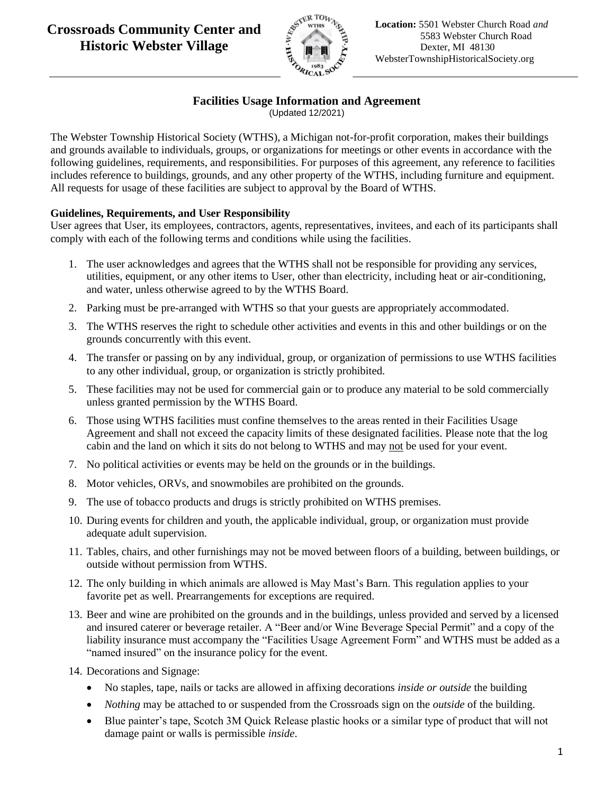

### **Facilities Usage Information and Agreement**

(Updated 12/2021)

The Webster Township Historical Society (WTHS), a Michigan not-for-profit corporation, makes their buildings and grounds available to individuals, groups, or organizations for meetings or other events in accordance with the following guidelines, requirements, and responsibilities. For purposes of this agreement, any reference to facilities includes reference to buildings, grounds, and any other property of the WTHS, including furniture and equipment. All requests for usage of these facilities are subject to approval by the Board of WTHS.

#### **Guidelines, Requirements, and User Responsibility**

User agrees that User, its employees, contractors, agents, representatives, invitees, and each of its participants shall comply with each of the following terms and conditions while using the facilities.

- 1. The user acknowledges and agrees that the WTHS shall not be responsible for providing any services, utilities, equipment, or any other items to User, other than electricity, including heat or air-conditioning, and water, unless otherwise agreed to by the WTHS Board.
- 2. Parking must be pre-arranged with WTHS so that your guests are appropriately accommodated.
- 3. The WTHS reserves the right to schedule other activities and events in this and other buildings or on the grounds concurrently with this event.
- 4. The transfer or passing on by any individual, group, or organization of permissions to use WTHS facilities to any other individual, group, or organization is strictly prohibited.
- 5. These facilities may not be used for commercial gain or to produce any material to be sold commercially unless granted permission by the WTHS Board.
- 6. Those using WTHS facilities must confine themselves to the areas rented in their Facilities Usage Agreement and shall not exceed the capacity limits of these designated facilities. Please note that the log cabin and the land on which it sits do not belong to WTHS and may not be used for your event.
- 7. No political activities or events may be held on the grounds or in the buildings.
- 8. Motor vehicles, ORVs, and snowmobiles are prohibited on the grounds.
- 9. The use of tobacco products and drugs is strictly prohibited on WTHS premises.
- 10. During events for children and youth, the applicable individual, group, or organization must provide adequate adult supervision.
- 11. Tables, chairs, and other furnishings may not be moved between floors of a building, between buildings, or outside without permission from WTHS.
- 12. The only building in which animals are allowed is May Mast's Barn. This regulation applies to your favorite pet as well. Prearrangements for exceptions are required.
- 13. Beer and wine are prohibited on the grounds and in the buildings, unless provided and served by a licensed and insured caterer or beverage retailer. A "Beer and/or Wine Beverage Special Permit" and a copy of the liability insurance must accompany the "Facilities Usage Agreement Form" and WTHS must be added as a "named insured" on the insurance policy for the event.
- 14. Decorations and Signage:
	- No staples, tape, nails or tacks are allowed in affixing decorations *inside or outside* the building
	- *Nothing* may be attached to or suspended from the Crossroads sign on the *outside* of the building.
	- Blue painter's tape, Scotch 3M Quick Release plastic hooks or a similar type of product that will not damage paint or walls is permissible *inside*.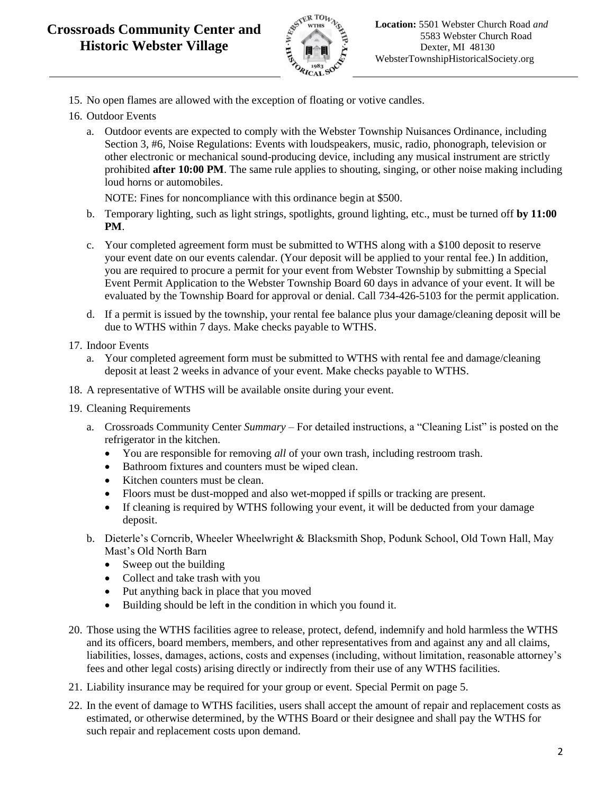

- 15. No open flames are allowed with the exception of floating or votive candles.
- 16. Outdoor Events
	- a. Outdoor events are expected to comply with the Webster Township Nuisances Ordinance, including Section 3, #6, Noise Regulations: Events with loudspeakers, music, radio, phonograph, television or other electronic or mechanical sound-producing device, including any musical instrument are strictly prohibited **after 10:00 PM**. The same rule applies to shouting, singing, or other noise making including loud horns or automobiles.

NOTE: Fines for noncompliance with this ordinance begin at \$500.

- b. Temporary lighting, such as light strings, spotlights, ground lighting, etc., must be turned off **by 11:00 PM**.
- c. Your completed agreement form must be submitted to WTHS along with a \$100 deposit to reserve your event date on our events calendar. (Your deposit will be applied to your rental fee.) In addition, you are required to procure a permit for your event from Webster Township by submitting a Special Event Permit Application to the Webster Township Board 60 days in advance of your event. It will be evaluated by the Township Board for approval or denial. Call 734-426-5103 for the permit application.
- d. If a permit is issued by the township, your rental fee balance plus your damage/cleaning deposit will be due to WTHS within 7 days. Make checks payable to WTHS.
- 17. Indoor Events
	- a. Your completed agreement form must be submitted to WTHS with rental fee and damage/cleaning deposit at least 2 weeks in advance of your event. Make checks payable to WTHS.
- 18. A representative of WTHS will be available onsite during your event.
- 19. Cleaning Requirements
	- a. Crossroads Community Center *Summary* For detailed instructions, a "Cleaning List" is posted on the refrigerator in the kitchen.
		- You are responsible for removing *all* of your own trash, including restroom trash.
		- Bathroom fixtures and counters must be wiped clean.
		- Kitchen counters must be clean.
		- Floors must be dust-mopped and also wet-mopped if spills or tracking are present.
		- If cleaning is required by WTHS following your event, it will be deducted from your damage deposit.
	- b. Dieterle's Corncrib, Wheeler Wheelwright & Blacksmith Shop, Podunk School, Old Town Hall, May Mast's Old North Barn
		- Sweep out the building
		- Collect and take trash with you
		- Put anything back in place that you moved
		- Building should be left in the condition in which you found it.
- 20. Those using the WTHS facilities agree to release, protect, defend, indemnify and hold harmless the WTHS and its officers, board members, members, and other representatives from and against any and all claims, liabilities, losses, damages, actions, costs and expenses (including, without limitation, reasonable attorney's fees and other legal costs) arising directly or indirectly from their use of any WTHS facilities.
- 21. Liability insurance may be required for your group or event. Special Permit on page 5.
- 22. In the event of damage to WTHS facilities, users shall accept the amount of repair and replacement costs as estimated, or otherwise determined, by the WTHS Board or their designee and shall pay the WTHS for such repair and replacement costs upon demand.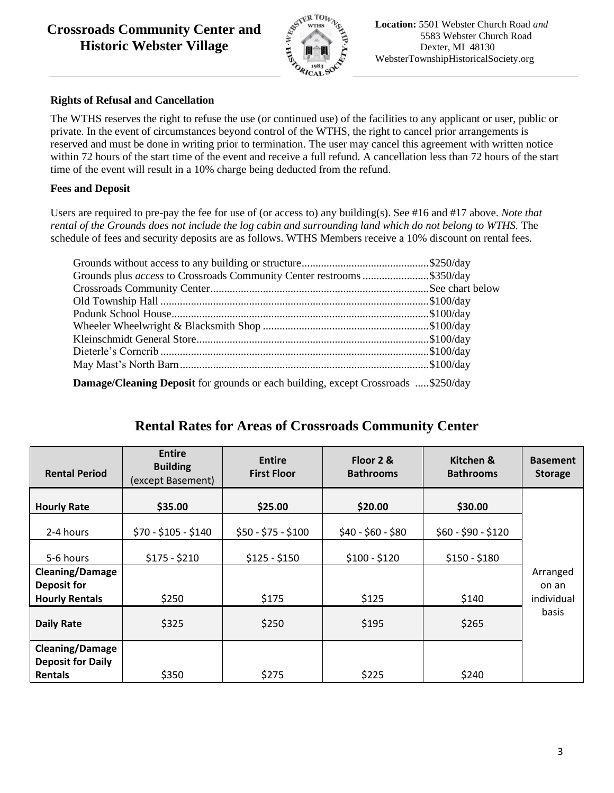## **Crossroads Community Center and Historic Webster Village**



#### **Rights of Refusal and Cancellation**

The WTHS reserves the right to refuse the use (or continued use) of the facilities to any applicant or user, public or private. In the event of circumstances beyond control of the WTHS, the right to cancel prior arrangements is reserved and must be done in writing prior to termination. The user may cancel this agreement with written notice within 72 hours of the start time of the event and receive a full refund. A cancellation less than 72 hours of the start time of the event will result in a 10% charge being deducted from the refund.

#### **Fees and Deposit**

Users are required to pre-pay the fee for use of (or access to) any building(s). See #16 and #17 above. *Note that rental of the Grounds does not include the log cabin and surrounding land which do not belong to WTHS.* The schedule of fees and security deposits are as follows. WTHS Members receive a 10% discount on rental fees.

| Grounds plus <i>access</i> to Crossroads Community Center restrooms \$350/day                                                                 |  |
|-----------------------------------------------------------------------------------------------------------------------------------------------|--|
|                                                                                                                                               |  |
|                                                                                                                                               |  |
|                                                                                                                                               |  |
|                                                                                                                                               |  |
|                                                                                                                                               |  |
|                                                                                                                                               |  |
|                                                                                                                                               |  |
| $D_{\text{conversal}}/Q_{\text{constr}}$ $D_{\text{conversal}}$ for example or each building example $Q_{\text{conversal}}$ $\phi_2$ $\phi_3$ |  |

**Damage/Cleaning Deposit** for grounds or each building, except Crossroads .....\$250/day

## **Rental Rates for Areas of Crossroads Community Center**

| <b>Rental Period</b>                       | <b>Entire</b><br><b>Building</b><br>(except Basement) | <b>Entire</b><br><b>First Floor</b> | Floor 2 &<br><b>Bathrooms</b> | Kitchen &<br><b>Bathrooms</b> | <b>Basement</b><br><b>Storage</b> |
|--------------------------------------------|-------------------------------------------------------|-------------------------------------|-------------------------------|-------------------------------|-----------------------------------|
| <b>Hourly Rate</b>                         | \$35.00                                               | \$25.00                             | \$20.00                       | \$30.00                       |                                   |
| 2-4 hours                                  | $$70 - $105 - $140$                                   | $$50 - $75 - $100$                  | $$40 - $60 - $80$             | $$60 - $90 - $120$            |                                   |
| 5-6 hours                                  | $$175 - $210$                                         | $$125 - $150$                       | $$100 - $120$                 | $$150 - $180$                 |                                   |
| <b>Cleaning/Damage</b><br>Deposit for      |                                                       |                                     |                               |                               | Arranged<br>on an                 |
| <b>Hourly Rentals</b>                      | \$250                                                 | \$175                               | \$125                         | \$140                         | individual                        |
| <b>Daily Rate</b>                          | \$325                                                 | \$250                               | \$195                         | \$265                         | basis                             |
| <b>Cleaning/Damage</b>                     |                                                       |                                     |                               |                               |                                   |
| <b>Deposit for Daily</b><br><b>Rentals</b> | \$350                                                 | \$275                               | \$225                         | \$240                         |                                   |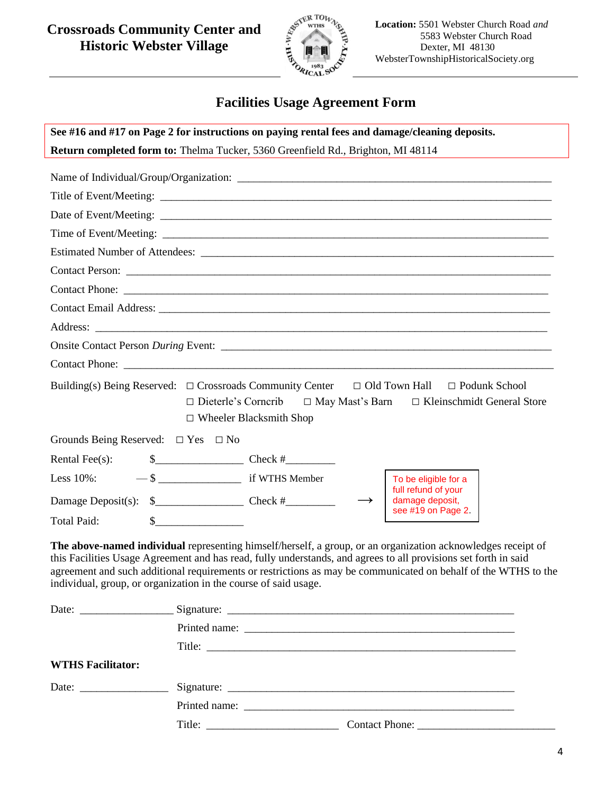## **Crossroads Community Center and Historic Webster Village**



**Location:** 5501 Webster Church Road *and* 5583 Webster Church Road Dexter, MI 48130 WebsterTownshipHistoricalSociety.org

# **Facilities Usage Agreement Form**

| See #16 and #17 on Page 2 for instructions on paying rental fees and damage/cleaning deposits.                                                                                                                                                                                                                                                                                                                       |                                |                                                                                                             |  |
|----------------------------------------------------------------------------------------------------------------------------------------------------------------------------------------------------------------------------------------------------------------------------------------------------------------------------------------------------------------------------------------------------------------------|--------------------------------|-------------------------------------------------------------------------------------------------------------|--|
| Return completed form to: Thelma Tucker, 5360 Greenfield Rd., Brighton, MI 48114                                                                                                                                                                                                                                                                                                                                     |                                |                                                                                                             |  |
|                                                                                                                                                                                                                                                                                                                                                                                                                      |                                |                                                                                                             |  |
|                                                                                                                                                                                                                                                                                                                                                                                                                      |                                |                                                                                                             |  |
|                                                                                                                                                                                                                                                                                                                                                                                                                      |                                |                                                                                                             |  |
|                                                                                                                                                                                                                                                                                                                                                                                                                      |                                |                                                                                                             |  |
|                                                                                                                                                                                                                                                                                                                                                                                                                      |                                |                                                                                                             |  |
|                                                                                                                                                                                                                                                                                                                                                                                                                      |                                |                                                                                                             |  |
|                                                                                                                                                                                                                                                                                                                                                                                                                      |                                |                                                                                                             |  |
|                                                                                                                                                                                                                                                                                                                                                                                                                      |                                |                                                                                                             |  |
|                                                                                                                                                                                                                                                                                                                                                                                                                      |                                |                                                                                                             |  |
|                                                                                                                                                                                                                                                                                                                                                                                                                      |                                |                                                                                                             |  |
| Contact Phone:                                                                                                                                                                                                                                                                                                                                                                                                       |                                |                                                                                                             |  |
| Building(s) Being Reserved: $\Box$ Crossroads Community Center $\Box$ Old Town Hall                                                                                                                                                                                                                                                                                                                                  | $\Box$ Wheeler Blacksmith Shop | $\Box$ Podunk School<br>$\Box$ Dieterle's Cornerib $\Box$ May Mast's Barn $\Box$ Kleinschmidt General Store |  |
| Grounds Being Reserved: $\Box$ Yes $\Box$ No                                                                                                                                                                                                                                                                                                                                                                         |                                |                                                                                                             |  |
| Rental Fee $(s)$ :                                                                                                                                                                                                                                                                                                                                                                                                   |                                |                                                                                                             |  |
| Less 10%:                                                                                                                                                                                                                                                                                                                                                                                                            |                                | To be eligible for a<br>full refund of your                                                                 |  |
| Damage Deposit(s): $\frac{2}{1}$ Check #                                                                                                                                                                                                                                                                                                                                                                             |                                | damage deposit,                                                                                             |  |
| <b>Total Paid:</b><br>$\sim$                                                                                                                                                                                                                                                                                                                                                                                         |                                | see #19 on Page 2.                                                                                          |  |
| The above-named individual representing himself/herself, a group, or an organization acknowledges receipt of<br>this Facilities Usage Agreement and has read, fully understands, and agrees to all provisions set forth in said<br>agreement and such additional requirements or restrictions as may be communicated on behalf of the WTHS to the<br>individual, group, or organization in the course of said usage. |                                |                                                                                                             |  |
|                                                                                                                                                                                                                                                                                                                                                                                                                      |                                |                                                                                                             |  |

| <b>WTHS Facilitator:</b> |                               |  |
|--------------------------|-------------------------------|--|
| Date: ________________   |                               |  |
|                          |                               |  |
|                          | Title: $\qquad \qquad \qquad$ |  |